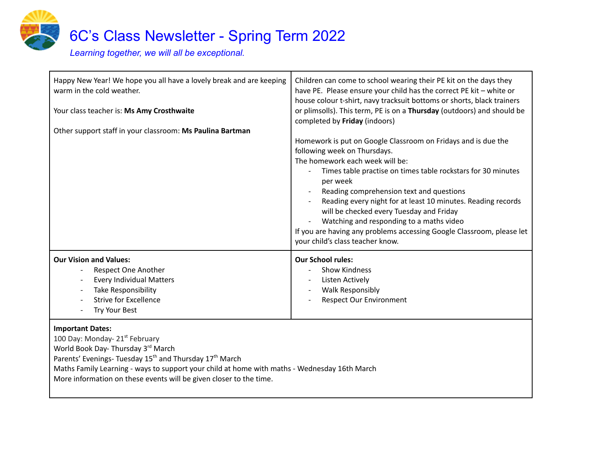

| Happy New Year! We hope you all have a lovely break and are keeping<br>warm in the cold weather.<br>Your class teacher is: Ms Amy Crosthwaite<br>Other support staff in your classroom: Ms Paulina Bartman | Children can come to school wearing their PE kit on the days they<br>have PE. Please ensure your child has the correct PE kit - white or<br>house colour t-shirt, navy tracksuit bottoms or shorts, black trainers<br>or plimsolls). This term, PE is on a Thursday (outdoors) and should be<br>completed by Friday (indoors)<br>Homework is put on Google Classroom on Fridays and is due the<br>following week on Thursdays.<br>The homework each week will be:<br>Times table practise on times table rockstars for 30 minutes<br>per week<br>Reading comprehension text and questions<br>Reading every night for at least 10 minutes. Reading records<br>will be checked every Tuesday and Friday<br>Watching and responding to a maths video<br>If you are having any problems accessing Google Classroom, please let<br>your child's class teacher know. |
|------------------------------------------------------------------------------------------------------------------------------------------------------------------------------------------------------------|----------------------------------------------------------------------------------------------------------------------------------------------------------------------------------------------------------------------------------------------------------------------------------------------------------------------------------------------------------------------------------------------------------------------------------------------------------------------------------------------------------------------------------------------------------------------------------------------------------------------------------------------------------------------------------------------------------------------------------------------------------------------------------------------------------------------------------------------------------------|
| <b>Our Vision and Values:</b><br>Respect One Another<br><b>Every Individual Matters</b><br>Take Responsibility<br><b>Strive for Excellence</b><br>Try Your Best                                            | <b>Our School rules:</b><br><b>Show Kindness</b><br>Listen Actively<br><b>Walk Responsibly</b><br><b>Respect Our Environment</b>                                                                                                                                                                                                                                                                                                                                                                                                                                                                                                                                                                                                                                                                                                                               |

### **Important Dates:**

100 Day: Monday- 21<sup>st</sup> February World Book Day- Thursday 3<sup>rd</sup> March Parents' Evenings- Tuesday 15<sup>th</sup> and Thursday 17<sup>th</sup> March Maths Family Learning - ways to support your child at home with maths - Wednesday 16th March More information on these events will be given closer to the time.